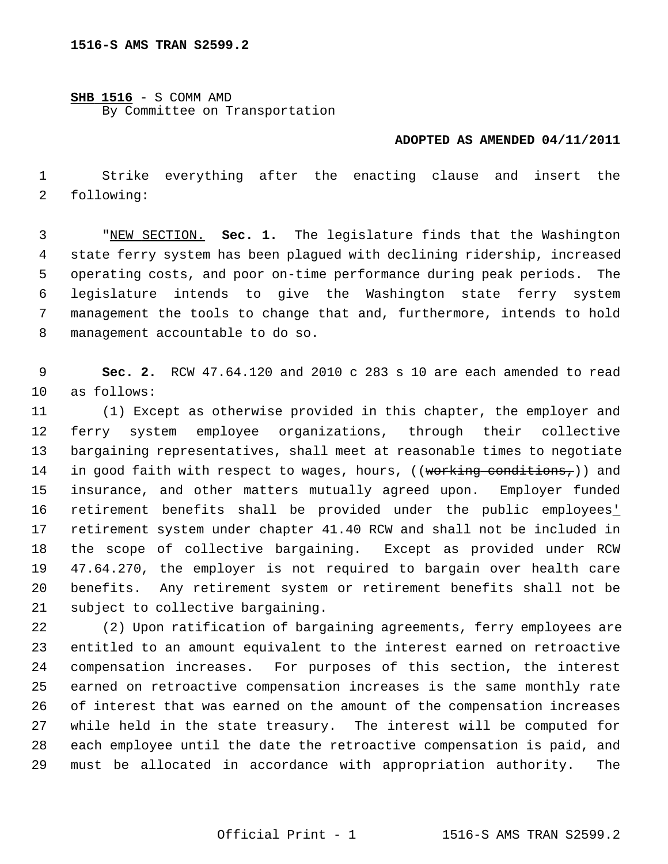**SHB 1516** - S COMM AMD By Committee on Transportation

## **ADOPTED AS AMENDED 04/11/2011**

 1 Strike everything after the enacting clause and insert the 2 following:

 3 "NEW SECTION. **Sec. 1.** The legislature finds that the Washington 4 state ferry system has been plagued with declining ridership, increased 5 operating costs, and poor on-time performance during peak periods. The 6 legislature intends to give the Washington state ferry system 7 management the tools to change that and, furthermore, intends to hold 8 management accountable to do so.

 9 **Sec. 2.** RCW 47.64.120 and 2010 c 283 s 10 are each amended to read 10 as follows:

11 (1) Except as otherwise provided in this chapter, the employer and 12 ferry system employee organizations, through their collective 13 bargaining representatives, shall meet at reasonable times to negotiate 14 in good faith with respect to wages, hours, ((working conditions,)) and 15 insurance, and other matters mutually agreed upon. Employer funded 16 retirement benefits shall be provided under the public employees' 17 retirement system under chapter 41.40 RCW and shall not be included in 18 the scope of collective bargaining. Except as provided under RCW 19 47.64.270, the employer is not required to bargain over health care 20 benefits. Any retirement system or retirement benefits shall not be 21 subject to collective bargaining.

22 (2) Upon ratification of bargaining agreements, ferry employees are 23 entitled to an amount equivalent to the interest earned on retroactive 24 compensation increases. For purposes of this section, the interest 25 earned on retroactive compensation increases is the same monthly rate 26 of interest that was earned on the amount of the compensation increases 27 while held in the state treasury. The interest will be computed for 28 each employee until the date the retroactive compensation is paid, and 29 must be allocated in accordance with appropriation authority. The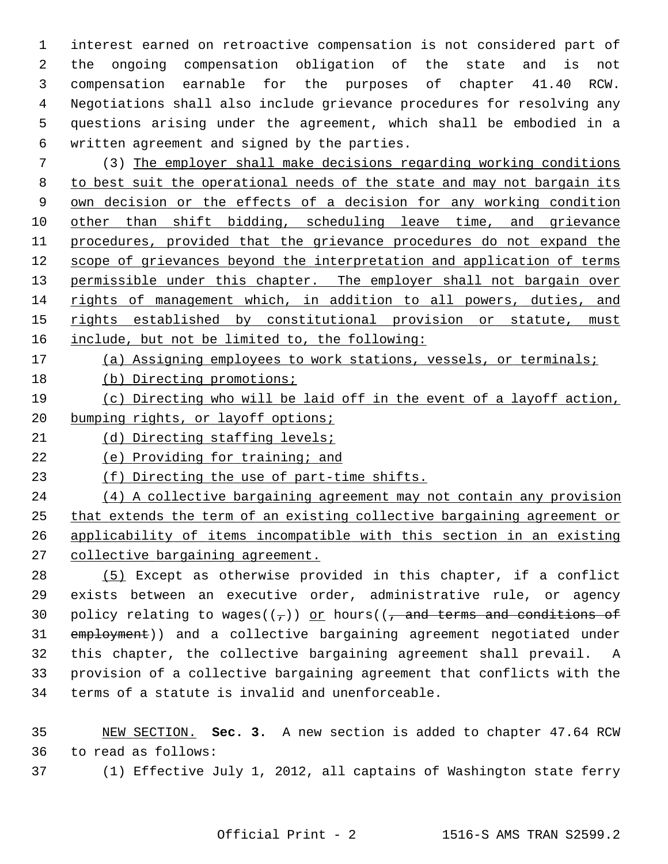1 interest earned on retroactive compensation is not considered part of 2 the ongoing compensation obligation of the state and is not 3 compensation earnable for the purposes of chapter 41.40 RCW. 4 Negotiations shall also include grievance procedures for resolving any 5 questions arising under the agreement, which shall be embodied in a 6 written agreement and signed by the parties.

 7 (3) The employer shall make decisions regarding working conditions to best suit the operational needs of the state and may not bargain its own decision or the effects of a decision for any working condition other than shift bidding, scheduling leave time, and grievance procedures, provided that the grievance procedures do not expand the scope of grievances beyond the interpretation and application of terms 13 permissible under this chapter. The employer shall not bargain over rights of management which, in addition to all powers, duties, and rights established by constitutional provision or statute, must include, but not be limited to, the following:

- 17 (a) Assigning employees to work stations, vessels, or terminals;
- 18 (b) Directing promotions;
- 19 (c) Directing who will be laid off in the event of a layoff action, 20 bumping rights, or layoff options;
- 21 (d) Directing staffing levels;
- 22 (e) Providing for training; and
- 23 (f) Directing the use of part-time shifts.

 (4) A collective bargaining agreement may not contain any provision that extends the term of an existing collective bargaining agreement or applicability of items incompatible with this section in an existing collective bargaining agreement.

28 (5) Except as otherwise provided in this chapter, if a conflict 29 exists between an executive order, administrative rule, or agency 30 policy relating to wages( $(\tau)$ ) or hours( $(\tau)$  and terms and conditions of 31 employment)) and a collective bargaining agreement negotiated under 32 this chapter, the collective bargaining agreement shall prevail. A 33 provision of a collective bargaining agreement that conflicts with the 34 terms of a statute is invalid and unenforceable.

35 NEW SECTION. **Sec. 3.** A new section is added to chapter 47.64 RCW 36 to read as follows:

37 (1) Effective July 1, 2012, all captains of Washington state ferry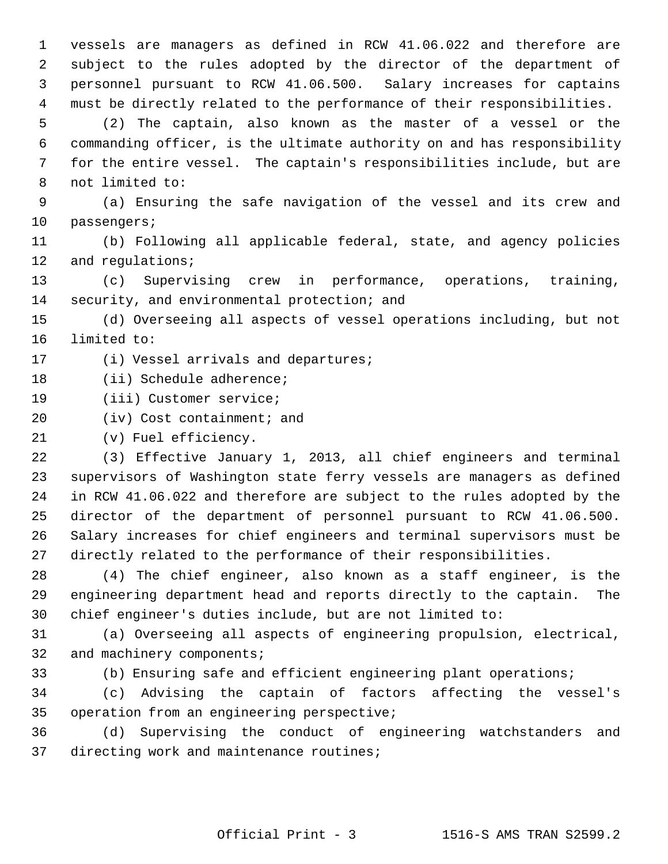1 vessels are managers as defined in RCW 41.06.022 and therefore are 2 subject to the rules adopted by the director of the department of 3 personnel pursuant to RCW 41.06.500. Salary increases for captains 4 must be directly related to the performance of their responsibilities.

 5 (2) The captain, also known as the master of a vessel or the 6 commanding officer, is the ultimate authority on and has responsibility 7 for the entire vessel. The captain's responsibilities include, but are 8 not limited to:

 9 (a) Ensuring the safe navigation of the vessel and its crew and 10 passengers;

11 (b) Following all applicable federal, state, and agency policies 12 and requlations;

13 (c) Supervising crew in performance, operations, training, 14 security, and environmental protection; and

15 (d) Overseeing all aspects of vessel operations including, but not 16 limited to:

17 (i) Vessel arrivals and departures;

18 (ii) Schedule adherence;

19 (iii) Customer service;

20 (iv) Cost containment; and

21 (v) Fuel efficiency.

22 (3) Effective January 1, 2013, all chief engineers and terminal 23 supervisors of Washington state ferry vessels are managers as defined 24 in RCW 41.06.022 and therefore are subject to the rules adopted by the 25 director of the department of personnel pursuant to RCW 41.06.500. 26 Salary increases for chief engineers and terminal supervisors must be 27 directly related to the performance of their responsibilities.

28 (4) The chief engineer, also known as a staff engineer, is the 29 engineering department head and reports directly to the captain. The 30 chief engineer's duties include, but are not limited to:

31 (a) Overseeing all aspects of engineering propulsion, electrical, 32 and machinery components;

33 (b) Ensuring safe and efficient engineering plant operations;

34 (c) Advising the captain of factors affecting the vessel's 35 operation from an engineering perspective;

36 (d) Supervising the conduct of engineering watchstanders and 37 directing work and maintenance routines;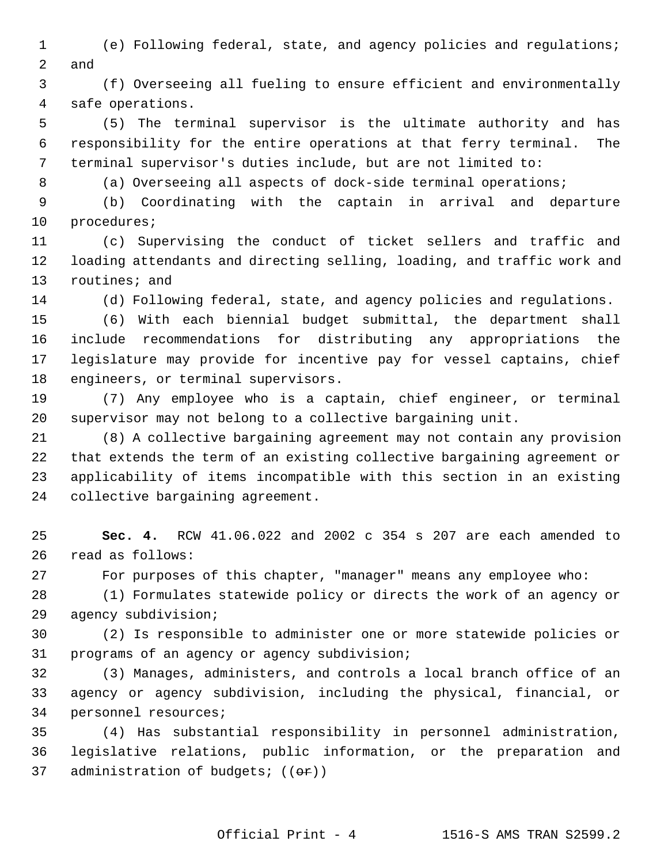1 (e) Following federal, state, and agency policies and regulations; 2 and

 3 (f) Overseeing all fueling to ensure efficient and environmentally 4 safe operations.

 5 (5) The terminal supervisor is the ultimate authority and has 6 responsibility for the entire operations at that ferry terminal. The 7 terminal supervisor's duties include, but are not limited to:

8 (a) Overseeing all aspects of dock-side terminal operations;

 9 (b) Coordinating with the captain in arrival and departure 10 procedures;

11 (c) Supervising the conduct of ticket sellers and traffic and 12 loading attendants and directing selling, loading, and traffic work and 13 routines; and

14 (d) Following federal, state, and agency policies and regulations.

15 (6) With each biennial budget submittal, the department shall 16 include recommendations for distributing any appropriations the 17 legislature may provide for incentive pay for vessel captains, chief 18 engineers, or terminal supervisors.

19 (7) Any employee who is a captain, chief engineer, or terminal 20 supervisor may not belong to a collective bargaining unit.

21 (8) A collective bargaining agreement may not contain any provision 22 that extends the term of an existing collective bargaining agreement or 23 applicability of items incompatible with this section in an existing 24 collective bargaining agreement.

25 **Sec. 4.** RCW 41.06.022 and 2002 c 354 s 207 are each amended to 26 read as follows:

27 For purposes of this chapter, "manager" means any employee who:

28 (1) Formulates statewide policy or directs the work of an agency or 29 agency subdivision;

30 (2) Is responsible to administer one or more statewide policies or 31 programs of an agency or agency subdivision;

32 (3) Manages, administers, and controls a local branch office of an 33 agency or agency subdivision, including the physical, financial, or 34 personnel resources;

35 (4) Has substantial responsibility in personnel administration, 36 legislative relations, public information, or the preparation and 37 administration of budgets;  $((er))$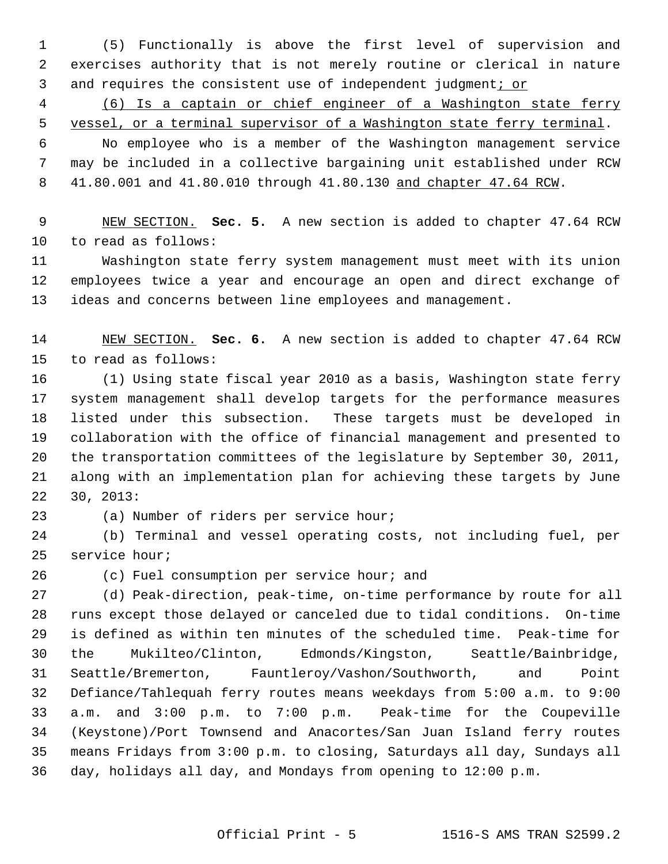1 (5) Functionally is above the first level of supervision and 2 exercises authority that is not merely routine or clerical in nature 3 and requires the consistent use of independent judgment; or

 4 (6) Is a captain or chief engineer of a Washington state ferry 5 vessel, or a terminal supervisor of a Washington state ferry terminal.

 6 No employee who is a member of the Washington management service 7 may be included in a collective bargaining unit established under RCW 8 41.80.001 and 41.80.010 through 41.80.130 and chapter 47.64 RCW.

 9 NEW SECTION. **Sec. 5.** A new section is added to chapter 47.64 RCW 10 to read as follows:

11 Washington state ferry system management must meet with its union 12 employees twice a year and encourage an open and direct exchange of 13 ideas and concerns between line employees and management.

14 NEW SECTION. **Sec. 6.** A new section is added to chapter 47.64 RCW 15 to read as follows:

16 (1) Using state fiscal year 2010 as a basis, Washington state ferry 17 system management shall develop targets for the performance measures 18 listed under this subsection. These targets must be developed in 19 collaboration with the office of financial management and presented to 20 the transportation committees of the legislature by September 30, 2011, 21 along with an implementation plan for achieving these targets by June 22 30, 2013:

23 (a) Number of riders per service hour;

24 (b) Terminal and vessel operating costs, not including fuel, per 25 service hour;

26 (c) Fuel consumption per service hour; and

27 (d) Peak-direction, peak-time, on-time performance by route for all 28 runs except those delayed or canceled due to tidal conditions. On-time 29 is defined as within ten minutes of the scheduled time. Peak-time for 30 the Mukilteo/Clinton, Edmonds/Kingston, Seattle/Bainbridge, 31 Seattle/Bremerton, Fauntleroy/Vashon/Southworth, and Point 32 Defiance/Tahlequah ferry routes means weekdays from 5:00 a.m. to 9:00 33 a.m. and 3:00 p.m. to 7:00 p.m. Peak-time for the Coupeville 34 (Keystone)/Port Townsend and Anacortes/San Juan Island ferry routes 35 means Fridays from 3:00 p.m. to closing, Saturdays all day, Sundays all 36 day, holidays all day, and Mondays from opening to 12:00 p.m.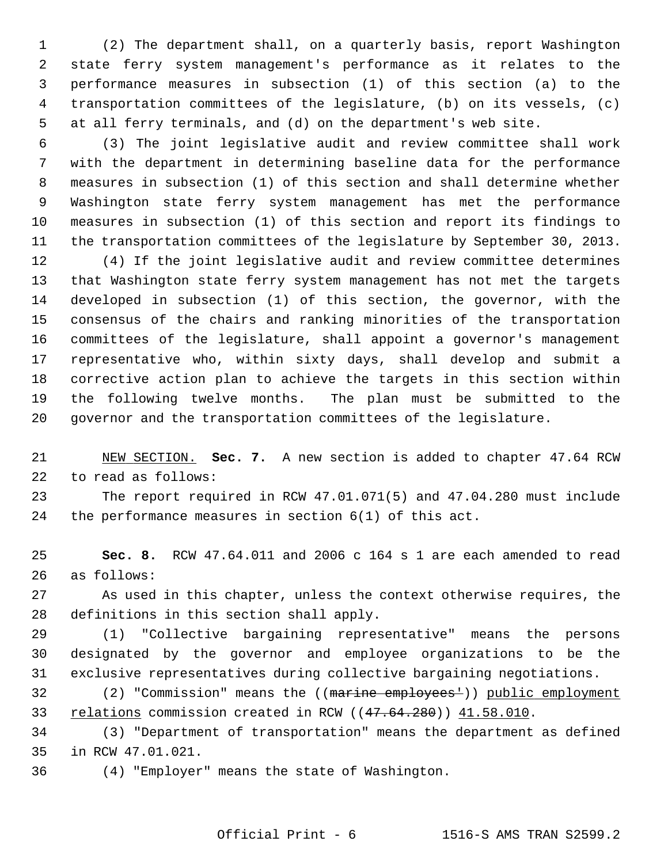1 (2) The department shall, on a quarterly basis, report Washington 2 state ferry system management's performance as it relates to the 3 performance measures in subsection (1) of this section (a) to the 4 transportation committees of the legislature, (b) on its vessels, (c) 5 at all ferry terminals, and (d) on the department's web site.

 6 (3) The joint legislative audit and review committee shall work 7 with the department in determining baseline data for the performance 8 measures in subsection (1) of this section and shall determine whether 9 Washington state ferry system management has met the performance 10 measures in subsection (1) of this section and report its findings to 11 the transportation committees of the legislature by September 30, 2013.

12 (4) If the joint legislative audit and review committee determines 13 that Washington state ferry system management has not met the targets 14 developed in subsection (1) of this section, the governor, with the 15 consensus of the chairs and ranking minorities of the transportation 16 committees of the legislature, shall appoint a governor's management 17 representative who, within sixty days, shall develop and submit a 18 corrective action plan to achieve the targets in this section within 19 the following twelve months. The plan must be submitted to the 20 governor and the transportation committees of the legislature.

21 NEW SECTION. **Sec. 7.** A new section is added to chapter 47.64 RCW 22 to read as follows:

23 The report required in RCW 47.01.071(5) and 47.04.280 must include 24 the performance measures in section 6(1) of this act.

25 **Sec. 8.** RCW 47.64.011 and 2006 c 164 s 1 are each amended to read 26 as follows:

27 As used in this chapter, unless the context otherwise requires, the 28 definitions in this section shall apply.

29 (1) "Collective bargaining representative" means the persons 30 designated by the governor and employee organizations to be the 31 exclusive representatives during collective bargaining negotiations.

32 (2) "Commission" means the ((marine employees')) public employment 33 relations commission created in RCW ((47.64.280)) 41.58.010.

34 (3) "Department of transportation" means the department as defined 35 in RCW 47.01.021.

36 (4) "Employer" means the state of Washington.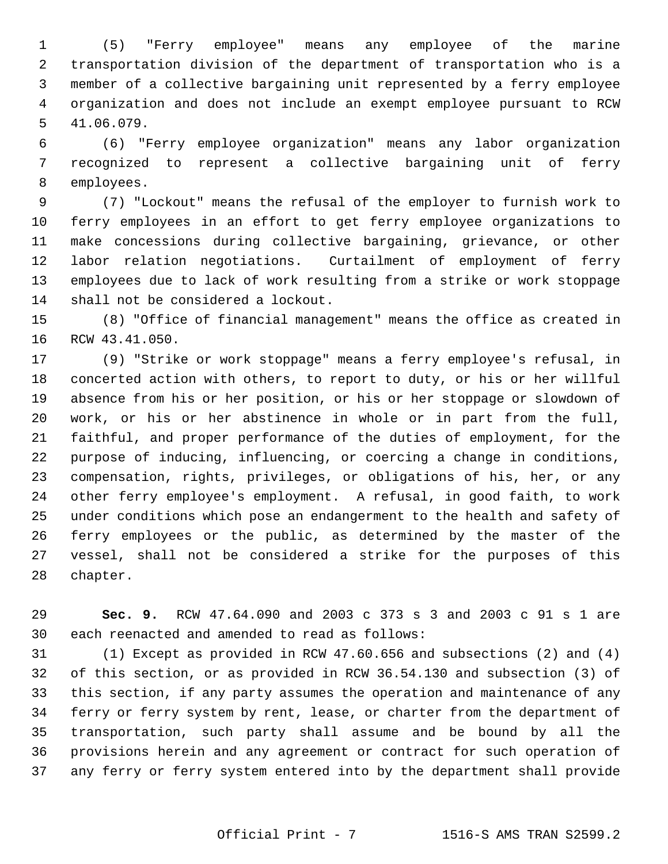1 (5) "Ferry employee" means any employee of the marine 2 transportation division of the department of transportation who is a 3 member of a collective bargaining unit represented by a ferry employee 4 organization and does not include an exempt employee pursuant to RCW 5 41.06.079.

 6 (6) "Ferry employee organization" means any labor organization 7 recognized to represent a collective bargaining unit of ferry 8 employees.

 9 (7) "Lockout" means the refusal of the employer to furnish work to 10 ferry employees in an effort to get ferry employee organizations to 11 make concessions during collective bargaining, grievance, or other 12 labor relation negotiations. Curtailment of employment of ferry 13 employees due to lack of work resulting from a strike or work stoppage 14 shall not be considered a lockout.

15 (8) "Office of financial management" means the office as created in 16 RCW 43.41.050.

17 (9) "Strike or work stoppage" means a ferry employee's refusal, in 18 concerted action with others, to report to duty, or his or her willful 19 absence from his or her position, or his or her stoppage or slowdown of 20 work, or his or her abstinence in whole or in part from the full, 21 faithful, and proper performance of the duties of employment, for the 22 purpose of inducing, influencing, or coercing a change in conditions, 23 compensation, rights, privileges, or obligations of his, her, or any 24 other ferry employee's employment. A refusal, in good faith, to work 25 under conditions which pose an endangerment to the health and safety of 26 ferry employees or the public, as determined by the master of the 27 vessel, shall not be considered a strike for the purposes of this 28 chapter.

29 **Sec. 9.** RCW 47.64.090 and 2003 c 373 s 3 and 2003 c 91 s 1 are 30 each reenacted and amended to read as follows:

31 (1) Except as provided in RCW 47.60.656 and subsections (2) and (4) 32 of this section, or as provided in RCW 36.54.130 and subsection (3) of 33 this section, if any party assumes the operation and maintenance of any 34 ferry or ferry system by rent, lease, or charter from the department of 35 transportation, such party shall assume and be bound by all the 36 provisions herein and any agreement or contract for such operation of 37 any ferry or ferry system entered into by the department shall provide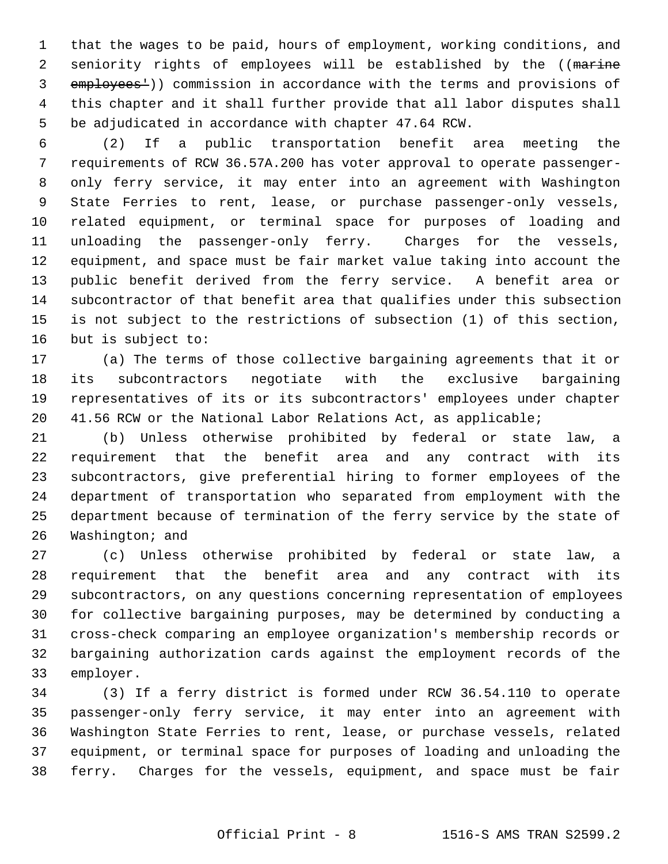1 that the wages to be paid, hours of employment, working conditions, and 2 seniority rights of employees will be established by the ((marine 3 employees<sup>1</sup>)) commission in accordance with the terms and provisions of 4 this chapter and it shall further provide that all labor disputes shall 5 be adjudicated in accordance with chapter 47.64 RCW.

 6 (2) If a public transportation benefit area meeting the 7 requirements of RCW 36.57A.200 has voter approval to operate passenger- 8 only ferry service, it may enter into an agreement with Washington 9 State Ferries to rent, lease, or purchase passenger-only vessels, 10 related equipment, or terminal space for purposes of loading and 11 unloading the passenger-only ferry. Charges for the vessels, 12 equipment, and space must be fair market value taking into account the 13 public benefit derived from the ferry service. A benefit area or 14 subcontractor of that benefit area that qualifies under this subsection 15 is not subject to the restrictions of subsection (1) of this section, 16 but is subject to:

17 (a) The terms of those collective bargaining agreements that it or 18 its subcontractors negotiate with the exclusive bargaining 19 representatives of its or its subcontractors' employees under chapter 20 41.56 RCW or the National Labor Relations Act, as applicable;

21 (b) Unless otherwise prohibited by federal or state law, a 22 requirement that the benefit area and any contract with its 23 subcontractors, give preferential hiring to former employees of the 24 department of transportation who separated from employment with the 25 department because of termination of the ferry service by the state of 26 Washington; and

27 (c) Unless otherwise prohibited by federal or state law, a 28 requirement that the benefit area and any contract with its 29 subcontractors, on any questions concerning representation of employees 30 for collective bargaining purposes, may be determined by conducting a 31 cross-check comparing an employee organization's membership records or 32 bargaining authorization cards against the employment records of the 33 employer.

34 (3) If a ferry district is formed under RCW 36.54.110 to operate 35 passenger-only ferry service, it may enter into an agreement with 36 Washington State Ferries to rent, lease, or purchase vessels, related 37 equipment, or terminal space for purposes of loading and unloading the 38 ferry. Charges for the vessels, equipment, and space must be fair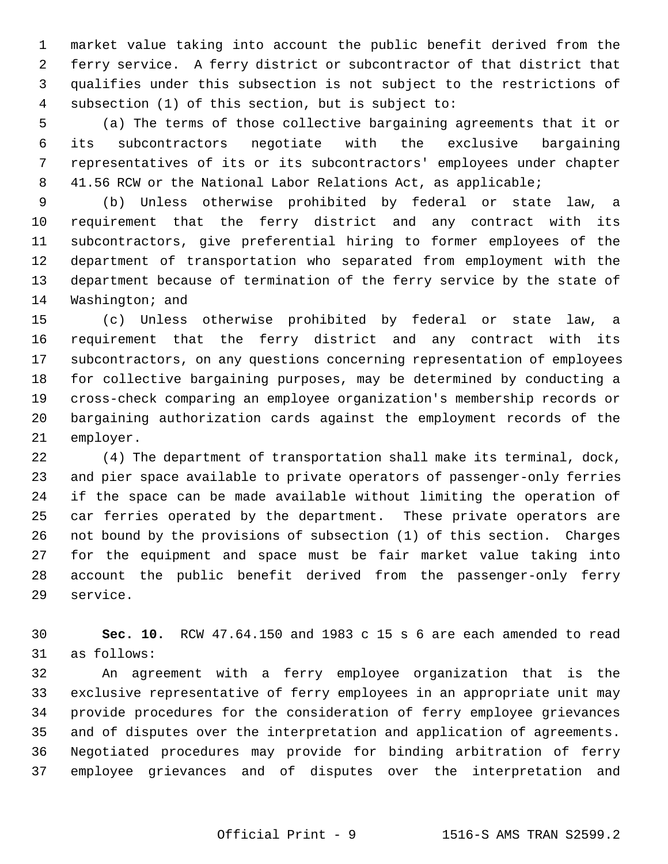1 market value taking into account the public benefit derived from the 2 ferry service. A ferry district or subcontractor of that district that 3 qualifies under this subsection is not subject to the restrictions of 4 subsection (1) of this section, but is subject to:

 5 (a) The terms of those collective bargaining agreements that it or 6 its subcontractors negotiate with the exclusive bargaining 7 representatives of its or its subcontractors' employees under chapter 8 41.56 RCW or the National Labor Relations Act, as applicable;

 9 (b) Unless otherwise prohibited by federal or state law, a 10 requirement that the ferry district and any contract with its 11 subcontractors, give preferential hiring to former employees of the 12 department of transportation who separated from employment with the 13 department because of termination of the ferry service by the state of 14 Washington; and

15 (c) Unless otherwise prohibited by federal or state law, a 16 requirement that the ferry district and any contract with its 17 subcontractors, on any questions concerning representation of employees 18 for collective bargaining purposes, may be determined by conducting a 19 cross-check comparing an employee organization's membership records or 20 bargaining authorization cards against the employment records of the 21 employer.

22 (4) The department of transportation shall make its terminal, dock, 23 and pier space available to private operators of passenger-only ferries 24 if the space can be made available without limiting the operation of 25 car ferries operated by the department. These private operators are 26 not bound by the provisions of subsection (1) of this section. Charges 27 for the equipment and space must be fair market value taking into 28 account the public benefit derived from the passenger-only ferry 29 service.

30 **Sec. 10.** RCW 47.64.150 and 1983 c 15 s 6 are each amended to read 31 as follows:

32 An agreement with a ferry employee organization that is the 33 exclusive representative of ferry employees in an appropriate unit may 34 provide procedures for the consideration of ferry employee grievances 35 and of disputes over the interpretation and application of agreements. 36 Negotiated procedures may provide for binding arbitration of ferry 37 employee grievances and of disputes over the interpretation and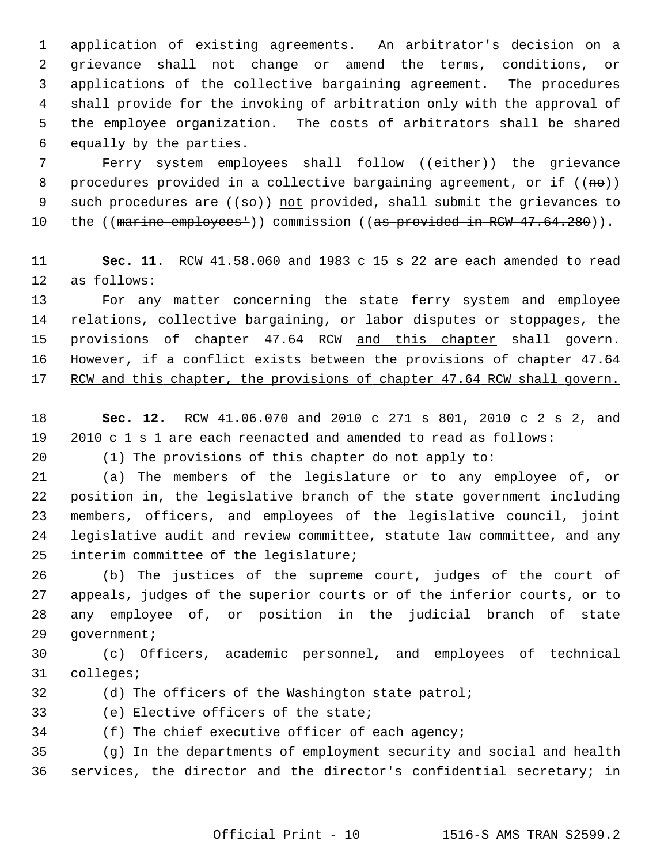1 application of existing agreements. An arbitrator's decision on a 2 grievance shall not change or amend the terms, conditions, or 3 applications of the collective bargaining agreement. The procedures 4 shall provide for the invoking of arbitration only with the approval of 5 the employee organization. The costs of arbitrators shall be shared 6 equally by the parties.

 7 Ferry system employees shall follow ((either)) the grievance 8 procedures provided in a collective bargaining agreement, or if  $((n\theta))$ 9 such procedures are  $((\text{se}))$  not provided, shall submit the grievances to 10 the ((marine employees<sup>1</sup>)) commission ((as provided in RCW 47.64.280)).

11 **Sec. 11.** RCW 41.58.060 and 1983 c 15 s 22 are each amended to read 12 as follows:

13 For any matter concerning the state ferry system and employee 14 relations, collective bargaining, or labor disputes or stoppages, the 15 provisions of chapter 47.64 RCW and this chapter shall govern. 16 However, if a conflict exists between the provisions of chapter 47.64 17 RCW and this chapter, the provisions of chapter 47.64 RCW shall govern.

18 **Sec. 12.** RCW 41.06.070 and 2010 c 271 s 801, 2010 c 2 s 2, and 19 2010 c 1 s 1 are each reenacted and amended to read as follows:

20 (1) The provisions of this chapter do not apply to:

21 (a) The members of the legislature or to any employee of, or 22 position in, the legislative branch of the state government including 23 members, officers, and employees of the legislative council, joint 24 legislative audit and review committee, statute law committee, and any 25 interim committee of the legislature;

26 (b) The justices of the supreme court, judges of the court of 27 appeals, judges of the superior courts or of the inferior courts, or to 28 any employee of, or position in the judicial branch of state 29 government;

30 (c) Officers, academic personnel, and employees of technical 31 colleges;

- 32 (d) The officers of the Washington state patrol;
- 33 (e) Elective officers of the state;
- 34 (f) The chief executive officer of each agency;

35 (g) In the departments of employment security and social and health 36 services, the director and the director's confidential secretary; in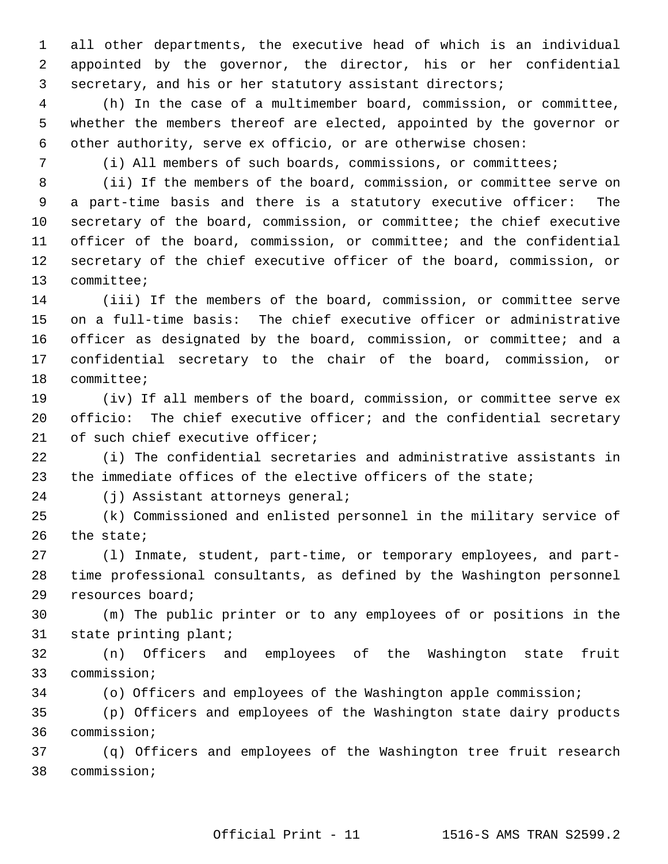1 all other departments, the executive head of which is an individual 2 appointed by the governor, the director, his or her confidential 3 secretary, and his or her statutory assistant directors;

 4 (h) In the case of a multimember board, commission, or committee, 5 whether the members thereof are elected, appointed by the governor or 6 other authority, serve ex officio, or are otherwise chosen:

7 (i) All members of such boards, commissions, or committees;

 8 (ii) If the members of the board, commission, or committee serve on 9 a part-time basis and there is a statutory executive officer: The 10 secretary of the board, commission, or committee; the chief executive 11 officer of the board, commission, or committee; and the confidential 12 secretary of the chief executive officer of the board, commission, or 13 committee;

14 (iii) If the members of the board, commission, or committee serve 15 on a full-time basis: The chief executive officer or administrative 16 officer as designated by the board, commission, or committee; and a 17 confidential secretary to the chair of the board, commission, or 18 committee;

19 (iv) If all members of the board, commission, or committee serve ex 20 officio: The chief executive officer; and the confidential secretary 21 of such chief executive officer;

22 (i) The confidential secretaries and administrative assistants in 23 the immediate offices of the elective officers of the state;

24 (j) Assistant attorneys general;

25 (k) Commissioned and enlisted personnel in the military service of 26 the state;

27 (l) Inmate, student, part-time, or temporary employees, and part-28 time professional consultants, as defined by the Washington personnel 29 resources board;

30 (m) The public printer or to any employees of or positions in the 31 state printing plant;

32 (n) Officers and employees of the Washington state fruit 33 commission;

34 (o) Officers and employees of the Washington apple commission;

35 (p) Officers and employees of the Washington state dairy products 36 commission;

37 (q) Officers and employees of the Washington tree fruit research 38 commission;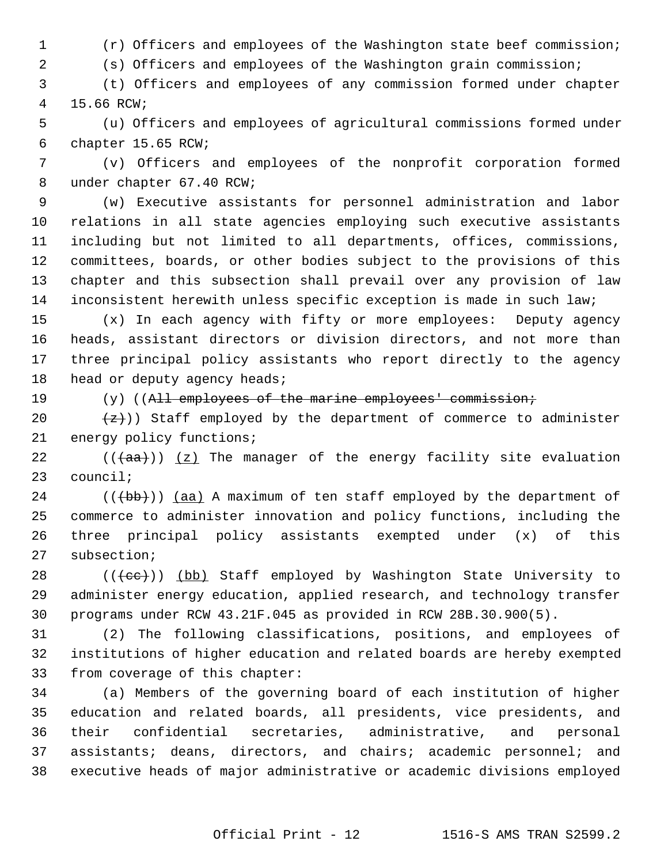1 (r) Officers and employees of the Washington state beef commission;

2 (s) Officers and employees of the Washington grain commission;

 3 (t) Officers and employees of any commission formed under chapter 4 15.66 RCW;

 5 (u) Officers and employees of agricultural commissions formed under 6 chapter 15.65 RCW;

 7 (v) Officers and employees of the nonprofit corporation formed 8 under chapter 67.40 RCW;

 9 (w) Executive assistants for personnel administration and labor 10 relations in all state agencies employing such executive assistants 11 including but not limited to all departments, offices, commissions, 12 committees, boards, or other bodies subject to the provisions of this 13 chapter and this subsection shall prevail over any provision of law 14 inconsistent herewith unless specific exception is made in such law;

15 (x) In each agency with fifty or more employees: Deputy agency 16 heads, assistant directors or division directors, and not more than 17 three principal policy assistants who report directly to the agency 18 head or deputy agency heads;

19 (y) ((All employees of the marine employees' commission;

20  $\{z\})$  Staff employed by the department of commerce to administer 21 energy policy functions;

22  $((+a^2)(a^2)$  ( $(a^2)(a^2)$ ) The manager of the energy facility site evaluation 23 council;

24  $((\{b\})$ ) (aa) A maximum of ten staff employed by the department of 25 commerce to administer innovation and policy functions, including the 26 three principal policy assistants exempted under (x) of this 27 subsection;

28 (((cc))) (bb) Staff employed by Washington State University to 29 administer energy education, applied research, and technology transfer 30 programs under RCW 43.21F.045 as provided in RCW 28B.30.900(5).

31 (2) The following classifications, positions, and employees of 32 institutions of higher education and related boards are hereby exempted 33 from coverage of this chapter:

34 (a) Members of the governing board of each institution of higher 35 education and related boards, all presidents, vice presidents, and 36 their confidential secretaries, administrative, and personal 37 assistants; deans, directors, and chairs; academic personnel; and 38 executive heads of major administrative or academic divisions employed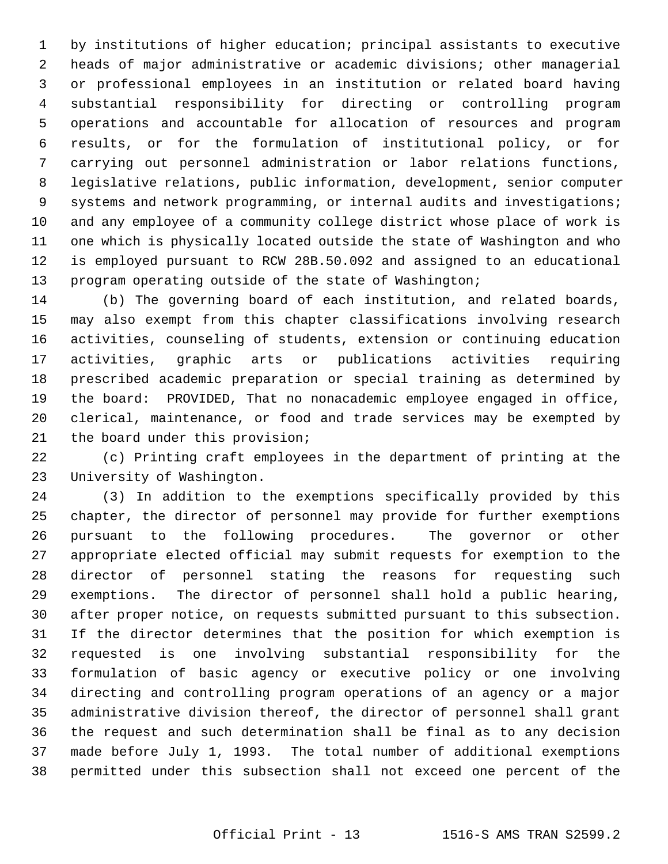1 by institutions of higher education; principal assistants to executive 2 heads of major administrative or academic divisions; other managerial 3 or professional employees in an institution or related board having 4 substantial responsibility for directing or controlling program 5 operations and accountable for allocation of resources and program 6 results, or for the formulation of institutional policy, or for 7 carrying out personnel administration or labor relations functions, 8 legislative relations, public information, development, senior computer 9 systems and network programming, or internal audits and investigations; 10 and any employee of a community college district whose place of work is 11 one which is physically located outside the state of Washington and who 12 is employed pursuant to RCW 28B.50.092 and assigned to an educational 13 program operating outside of the state of Washington;

14 (b) The governing board of each institution, and related boards, 15 may also exempt from this chapter classifications involving research 16 activities, counseling of students, extension or continuing education 17 activities, graphic arts or publications activities requiring 18 prescribed academic preparation or special training as determined by 19 the board: PROVIDED, That no nonacademic employee engaged in office, 20 clerical, maintenance, or food and trade services may be exempted by 21 the board under this provision;

22 (c) Printing craft employees in the department of printing at the 23 University of Washington.

24 (3) In addition to the exemptions specifically provided by this 25 chapter, the director of personnel may provide for further exemptions 26 pursuant to the following procedures. The governor or other 27 appropriate elected official may submit requests for exemption to the 28 director of personnel stating the reasons for requesting such 29 exemptions. The director of personnel shall hold a public hearing, 30 after proper notice, on requests submitted pursuant to this subsection. 31 If the director determines that the position for which exemption is 32 requested is one involving substantial responsibility for the 33 formulation of basic agency or executive policy or one involving 34 directing and controlling program operations of an agency or a major 35 administrative division thereof, the director of personnel shall grant 36 the request and such determination shall be final as to any decision 37 made before July 1, 1993. The total number of additional exemptions 38 permitted under this subsection shall not exceed one percent of the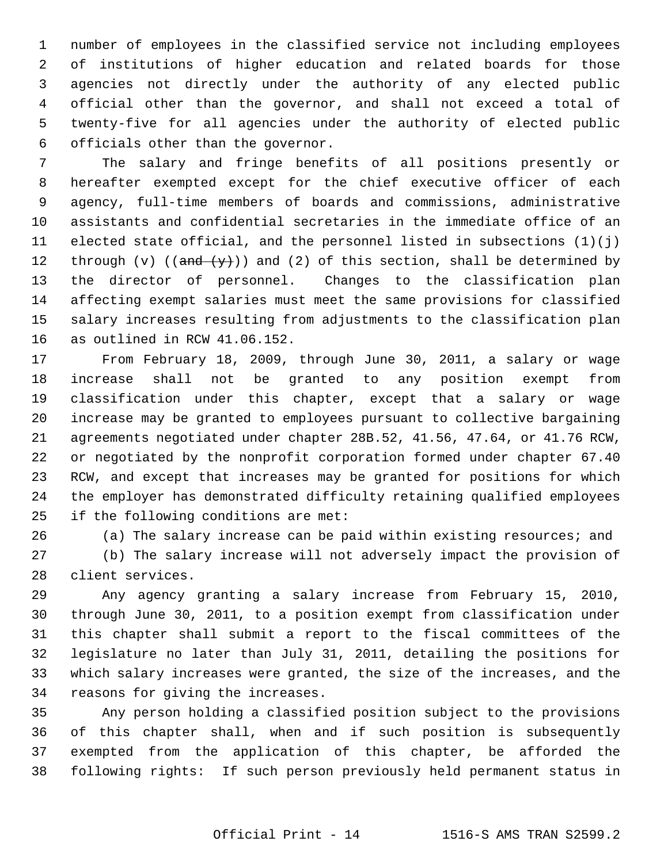1 number of employees in the classified service not including employees 2 of institutions of higher education and related boards for those 3 agencies not directly under the authority of any elected public 4 official other than the governor, and shall not exceed a total of 5 twenty-five for all agencies under the authority of elected public 6 officials other than the governor.

 7 The salary and fringe benefits of all positions presently or 8 hereafter exempted except for the chief executive officer of each 9 agency, full-time members of boards and commissions, administrative 10 assistants and confidential secretaries in the immediate office of an 11 elected state official, and the personnel listed in subsections  $(1)(i)$ 12 through (v) (( $\frac{and (y)}{y}$ )) and (2) of this section, shall be determined by 13 the director of personnel. Changes to the classification plan 14 affecting exempt salaries must meet the same provisions for classified 15 salary increases resulting from adjustments to the classification plan 16 as outlined in RCW 41.06.152.

17 From February 18, 2009, through June 30, 2011, a salary or wage 18 increase shall not be granted to any position exempt from 19 classification under this chapter, except that a salary or wage 20 increase may be granted to employees pursuant to collective bargaining 21 agreements negotiated under chapter 28B.52, 41.56, 47.64, or 41.76 RCW, 22 or negotiated by the nonprofit corporation formed under chapter 67.40 23 RCW, and except that increases may be granted for positions for which 24 the employer has demonstrated difficulty retaining qualified employees 25 if the following conditions are met:

26 (a) The salary increase can be paid within existing resources; and

27 (b) The salary increase will not adversely impact the provision of 28 client services.

29 Any agency granting a salary increase from February 15, 2010, 30 through June 30, 2011, to a position exempt from classification under 31 this chapter shall submit a report to the fiscal committees of the 32 legislature no later than July 31, 2011, detailing the positions for 33 which salary increases were granted, the size of the increases, and the 34 reasons for giving the increases.

35 Any person holding a classified position subject to the provisions 36 of this chapter shall, when and if such position is subsequently 37 exempted from the application of this chapter, be afforded the 38 following rights: If such person previously held permanent status in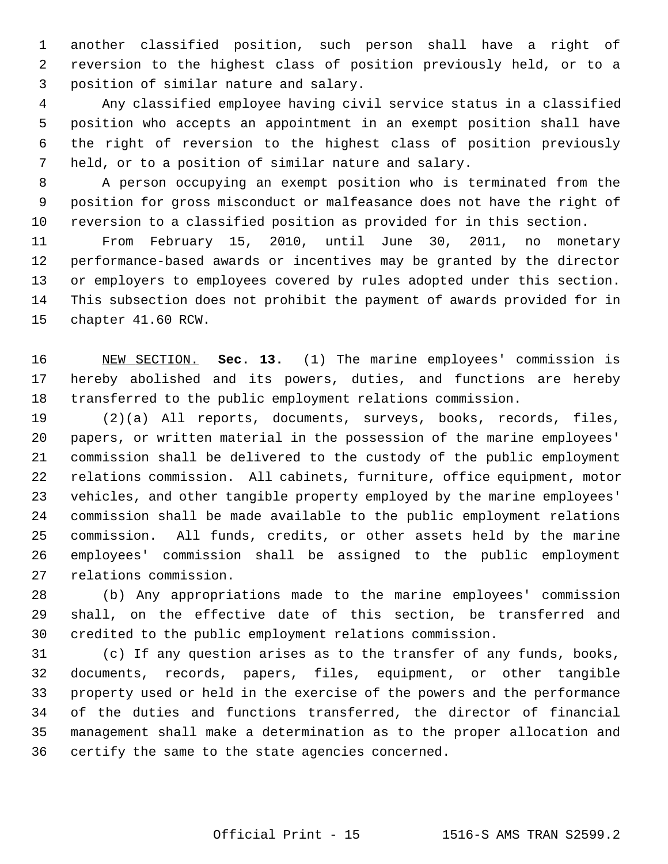1 another classified position, such person shall have a right of 2 reversion to the highest class of position previously held, or to a 3 position of similar nature and salary.

 4 Any classified employee having civil service status in a classified 5 position who accepts an appointment in an exempt position shall have 6 the right of reversion to the highest class of position previously 7 held, or to a position of similar nature and salary.

 8 A person occupying an exempt position who is terminated from the 9 position for gross misconduct or malfeasance does not have the right of 10 reversion to a classified position as provided for in this section.

11 From February 15, 2010, until June 30, 2011, no monetary 12 performance-based awards or incentives may be granted by the director 13 or employers to employees covered by rules adopted under this section. 14 This subsection does not prohibit the payment of awards provided for in 15 chapter 41.60 RCW.

16 NEW SECTION. **Sec. 13.** (1) The marine employees' commission is 17 hereby abolished and its powers, duties, and functions are hereby 18 transferred to the public employment relations commission.

19 (2)(a) All reports, documents, surveys, books, records, files, 20 papers, or written material in the possession of the marine employees' 21 commission shall be delivered to the custody of the public employment 22 relations commission. All cabinets, furniture, office equipment, motor 23 vehicles, and other tangible property employed by the marine employees' 24 commission shall be made available to the public employment relations 25 commission. All funds, credits, or other assets held by the marine 26 employees' commission shall be assigned to the public employment 27 relations commission.

28 (b) Any appropriations made to the marine employees' commission 29 shall, on the effective date of this section, be transferred and 30 credited to the public employment relations commission.

31 (c) If any question arises as to the transfer of any funds, books, 32 documents, records, papers, files, equipment, or other tangible 33 property used or held in the exercise of the powers and the performance 34 of the duties and functions transferred, the director of financial 35 management shall make a determination as to the proper allocation and 36 certify the same to the state agencies concerned.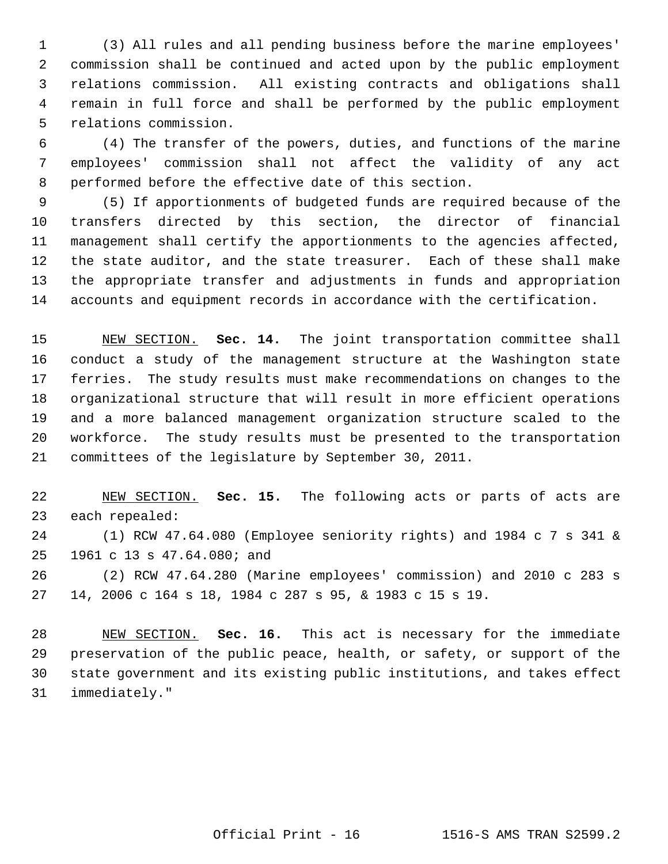1 (3) All rules and all pending business before the marine employees' 2 commission shall be continued and acted upon by the public employment 3 relations commission. All existing contracts and obligations shall 4 remain in full force and shall be performed by the public employment 5 relations commission.

 6 (4) The transfer of the powers, duties, and functions of the marine 7 employees' commission shall not affect the validity of any act 8 performed before the effective date of this section.

 9 (5) If apportionments of budgeted funds are required because of the 10 transfers directed by this section, the director of financial 11 management shall certify the apportionments to the agencies affected, 12 the state auditor, and the state treasurer. Each of these shall make 13 the appropriate transfer and adjustments in funds and appropriation 14 accounts and equipment records in accordance with the certification.

15 NEW SECTION. **Sec. 14.** The joint transportation committee shall 16 conduct a study of the management structure at the Washington state 17 ferries. The study results must make recommendations on changes to the 18 organizational structure that will result in more efficient operations 19 and a more balanced management organization structure scaled to the 20 workforce. The study results must be presented to the transportation 21 committees of the legislature by September 30, 2011.

22 NEW SECTION. **Sec. 15.** The following acts or parts of acts are 23 each repealed:

24 (1) RCW 47.64.080 (Employee seniority rights) and 1984 c 7 s 341 & 25 1961 c 13 s 47.64.080; and

26 (2) RCW 47.64.280 (Marine employees' commission) and 2010 c 283 s 27 14, 2006 c 164 s 18, 1984 c 287 s 95, & 1983 c 15 s 19.

28 NEW SECTION. **Sec. 16.** This act is necessary for the immediate 29 preservation of the public peace, health, or safety, or support of the 30 state government and its existing public institutions, and takes effect 31 immediately."